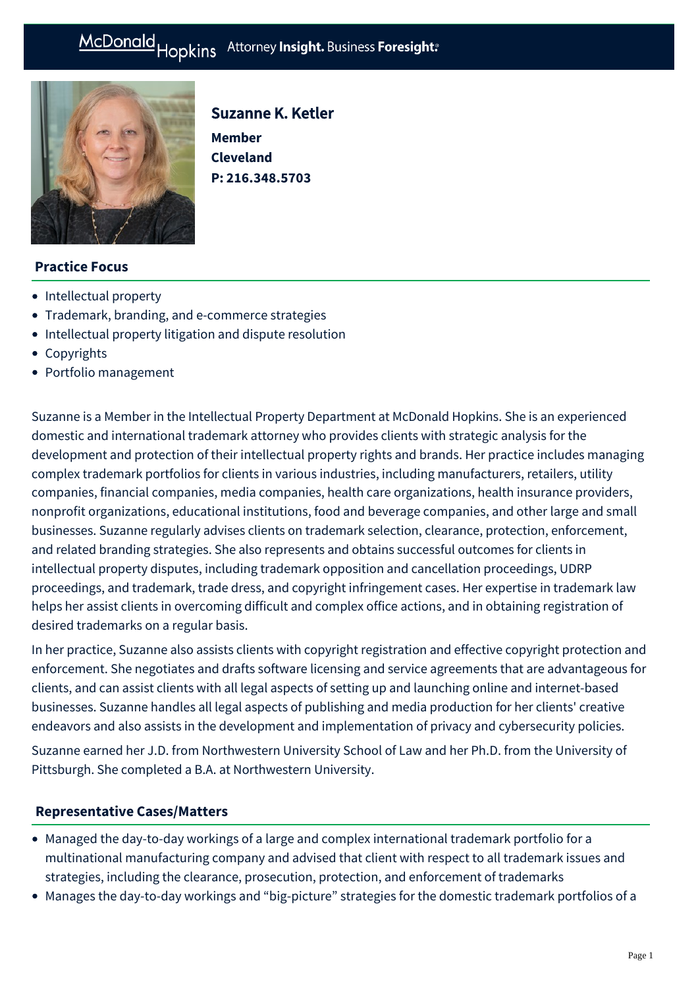**Member Cleveland** 

Suzanne K. Ketler

**P: [216.348.5703](tel:216.348.5703)**



# **Practice Focus**

- [Intellectual property](https://mcdonaldhopkins.com/Expertise/Intellectual-property)
- [Trademark, branding, and e-commerce strategies](https://mcdonaldhopkins.com/Expertise/Intellectual-property/trademark-branding-ecommerce-strategies)
- [Intellectual property litigation and dispute resolution](https://mcdonaldhopkins.com/Expertise/Intellectual-property/Intellectual-property-litigation-and-dispute-resol)
- [Copyrights](https://mcdonaldhopkins.com/Expertise/Intellectual-property/Copyrights)
- [Portfolio management](https://mcdonaldhopkins.com/Expertise/Intellectual-property/Portfolio-management)

Suzanne is a Member in the Intellectual Property Department at McDonald Hopkins. She is an experienced domestic and international trademark attorney who provides clients with strategic analysis for the development and protection of their intellectual property rights and brands. Her practice includes managing complex trademark portfolios for clients in various industries, including manufacturers, retailers, utility companies, financial companies, media companies, health care organizations, health insurance providers, nonprofit organizations, educational institutions, food and beverage companies, and other large and small businesses. Suzanne regularly advises clients on trademark selection, clearance, protection, enforcement, and related branding strategies. She also represents and obtains successful outcomes for clients in intellectual property disputes, including trademark opposition and cancellation proceedings, UDRP proceedings, and trademark, trade dress, and copyright infringement cases. Her expertise in trademark law helps her assist clients in overcoming difficult and complex office actions, and in obtaining registration of desired trademarks on a regular basis.

In her practice, Suzanne also assists clients with copyright registration and effective copyright protection and enforcement. She negotiates and drafts software licensing and service agreements that are advantageous for clients, and can assist clients with all legal aspects of setting up and launching online and internet-based businesses. Suzanne handles all legal aspects of publishing and media production for her clients' creative endeavors and also assists in the development and implementation of privacy and cybersecurity policies.

Suzanne earned her J.D. from Northwestern University School of Law and her Ph.D. from the University of Pittsburgh. She completed a B.A. at Northwestern University.

# **[Representative Cases/Matters](#page-0-0)**

- <span id="page-0-0"></span>Managed the day-to-day workings of a large and complex international trademark portfolio for a multinational manufacturing company and advised that client with respect to all trademark issues and strategies, including the clearance, prosecution, protection, and enforcement of trademarks
- Manages the day-to-day workings and "big-picture" strategies for the domestic trademark portfolios of a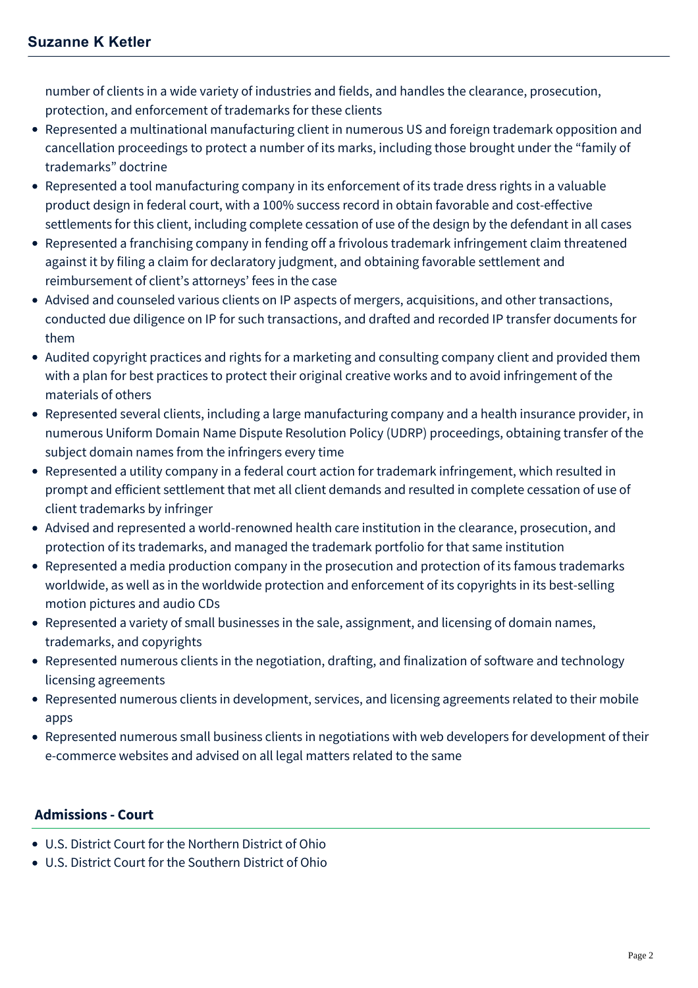number of clients in a wide variety of industries and fields, and handles the clearance, prosecution, protection, and enforcement of trademarks for these clients

- Represented a multinational manufacturing client in numerous US and foreign trademark opposition and cancellation proceedings to protect a number of its marks, including those brought under the "family of trademarks" doctrine
- Represented a tool manufacturing company in its enforcement of its trade dress rights in a valuable product design in federal court, with a 100% success record in obtain favorable and cost-effective settlements for this client, including complete cessation of use of the design by the defendant in all cases
- Represented a franchising company in fending off a frivolous trademark infringement claim threatened against it by filing a claim for declaratory judgment, and obtaining favorable settlement and reimbursement of client's attorneys' fees in the case
- Advised and counseled various clients on IP aspects of mergers, acquisitions, and other transactions, conducted due diligence on IP for such transactions, and drafted and recorded IP transfer documents for them
- Audited copyright practices and rights for a marketing and consulting company client and provided them with a plan for best practices to protect their original creative works and to avoid infringement of the materials of others
- Represented several clients, including a large manufacturing company and a health insurance provider, in numerous Uniform Domain Name Dispute Resolution Policy (UDRP) proceedings, obtaining transfer of the subject domain names from the infringers every time
- Represented a utility company in a federal court action for trademark infringement, which resulted in prompt and efficient settlement that met all client demands and resulted in complete cessation of use of client trademarks by infringer
- Advised and represented a world-renowned health care institution in the clearance, prosecution, and protection of its trademarks, and managed the trademark portfolio for that same institution
- Represented a media production company in the prosecution and protection of its famous trademarks worldwide, as well as in the worldwide protection and enforcement of its copyrights in its best-selling motion pictures and audio CDs
- Represented a variety of small businesses in the sale, assignment, and licensing of domain names, trademarks, and copyrights
- Represented numerous clients in the negotiation, drafting, and finalization of software and technology licensing agreements
- Represented numerous clients in development, services, and licensing agreements related to their mobile apps
- Represented numerous small business clients in negotiations with web developers for development of their e-commerce websites and advised on all legal matters related to the same

# **Admissions - Court**

- U.S. District Court for the Northern District of Ohio
- U.S. District Court for the Southern District of Ohio